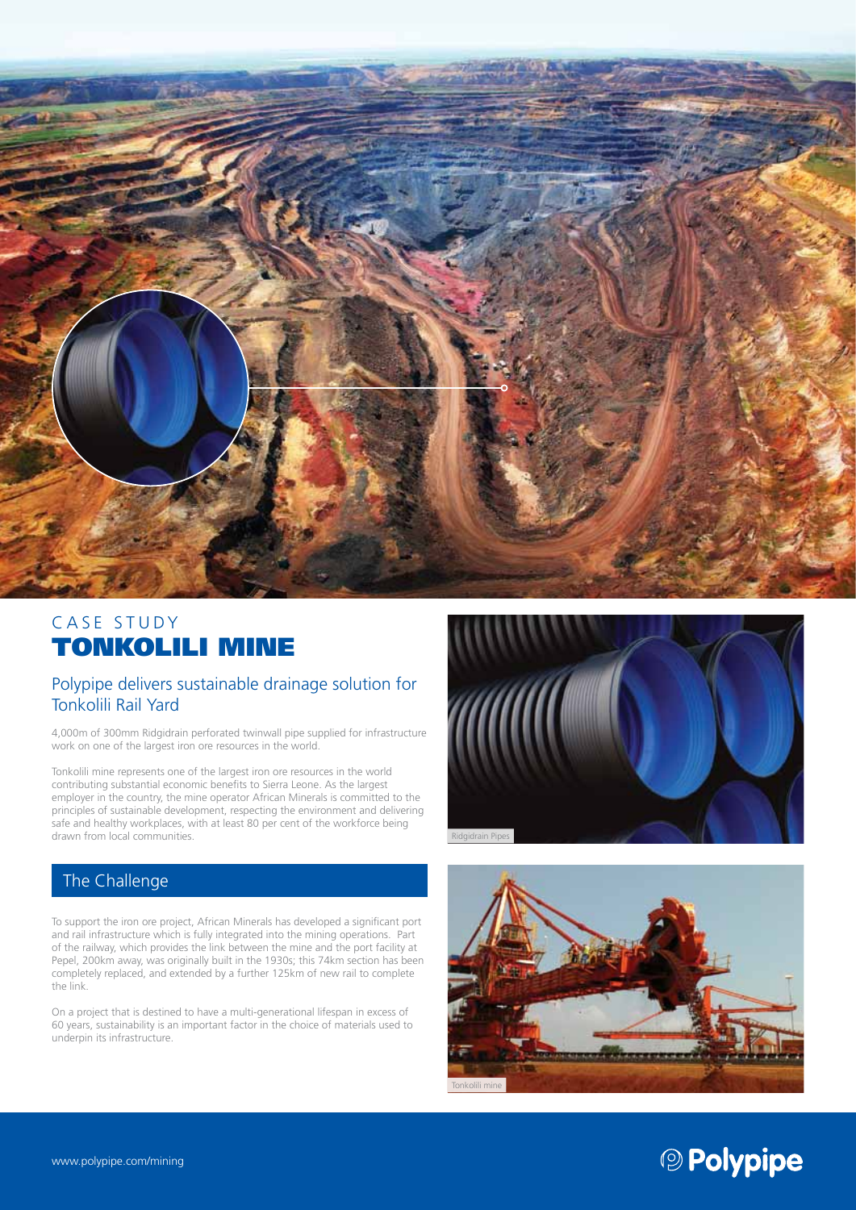

# CASE STUDY TONKOLILI MINE

### Polypipe delivers sustainable drainage solution for Tonkolili Rail Yard

4,000m of 300mm Ridgidrain perforated twinwall pipe supplied for infrastructure work on one of the largest iron ore resources in the world.

Tonkolili mine represents one of the largest iron ore resources in the world contributing substantial economic benefits to Sierra Leone. As the largest employer in the country, the mine operator African Minerals is committed to the principles of sustainable development, respecting the environment and delivering safe and healthy workplaces, with at least 80 per cent of the workforce being drawn from local communities.

## The Challenge

To support the iron ore project, African Minerals has developed a significant port and rail infrastructure which is fully integrated into the mining operations. Part of the railway, which provides the link between the mine and the port facility at Pepel, 200km away, was originally built in the 1930s; this 74km section has been completely replaced, and extended by a further 125km of new rail to complete the link.

On a project that is destined to have a multi-generational lifespan in excess of 60 years, sustainability is an important factor in the choice of materials used to underpin its infrastructure.





# <sup>2</sup> Polypipe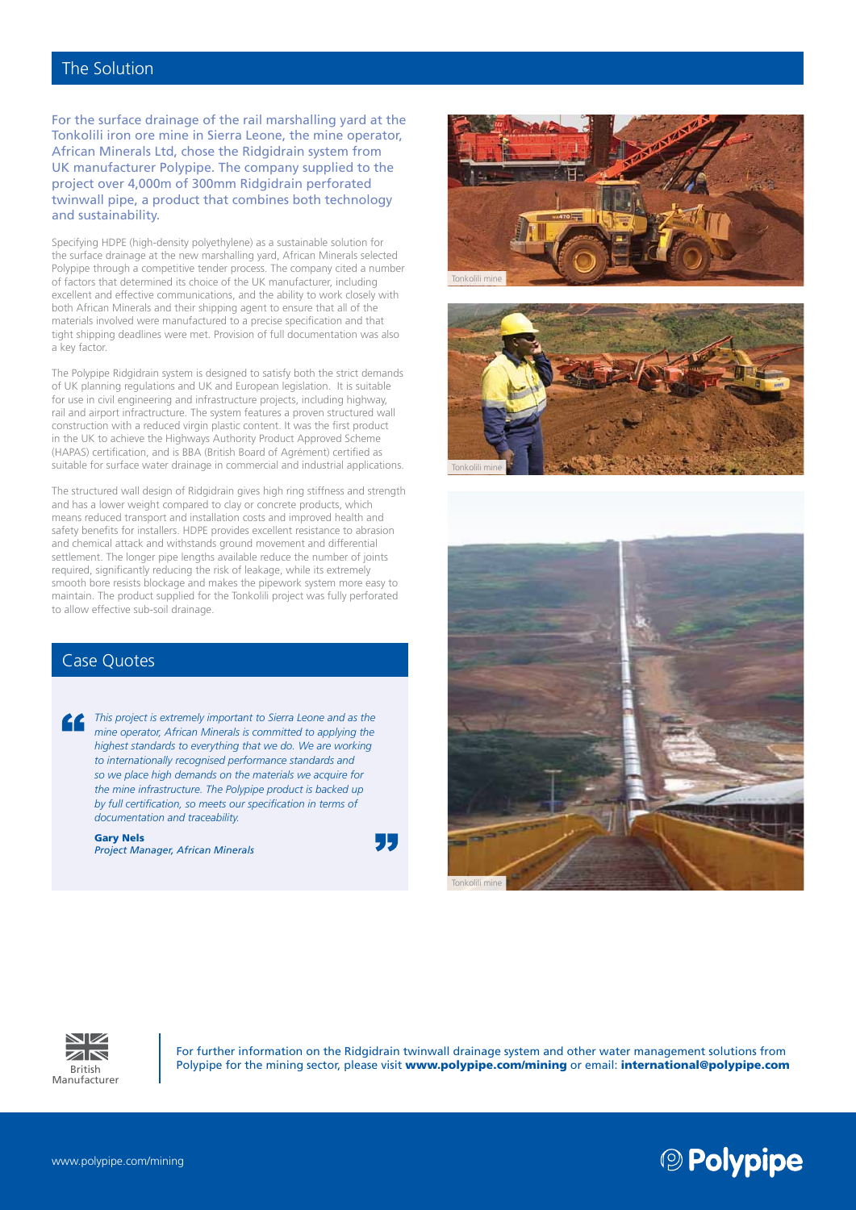#### The Solution

For the surface drainage of the rail marshalling yard at the Tonkolili iron ore mine in Sierra Leone, the mine operator, African Minerals Ltd, chose the Ridgidrain system from UK manufacturer Polypipe. The company supplied to the project over 4,000m of 300mm Ridgidrain perforated twinwall pipe, a product that combines both technology and sustainability.

Specifying HDPE (high-density polyethylene) as a sustainable solution for the surface drainage at the new marshalling yard, African Minerals selected Polypipe through a competitive tender process. The company cited a number of factors that determined its choice of the UK manufacturer, including excellent and effective communications, and the ability to work closely with both African Minerals and their shipping agent to ensure that all of the materials involved were manufactured to a precise specification and that tight shipping deadlines were met. Provision of full documentation was also a key factor.

The Polypipe Ridgidrain system is designed to satisfy both the strict demands of UK planning regulations and UK and European legislation. It is suitable for use in civil engineering and infrastructure projects, including highway, rail and airport infractructure. The system features a proven structured wall construction with a reduced virgin plastic content. It was the first product in the UK to achieve the Highways Authority Product Approved Scheme (HAPAS) certification, and is BBA (British Board of Agrément) certified as suitable for surface water drainage in commercial and industrial applications.

The structured wall design of Ridgidrain gives high ring stiffness and strength and has a lower weight compared to clay or concrete products, which means reduced transport and installation costs and improved health and safety benefits for installers. HDPE provides excellent resistance to abrasion and chemical attack and withstands ground movement and differential settlement. The longer pipe lengths available reduce the number of joints required, significantly reducing the risk of leakage, while its extremely smooth bore resists blockage and makes the pipework system more easy to maintain. The product supplied for the Tonkolili project was fully perforated to allow effective sub-soil drainage.

#### Case Quotes

*This project is extremely important to Sierra Leone and as the mine operator, African Minerals is committed to applying the highest standards to everything that we do. We are working to internationally recognised performance standards and so we place high demands on the materials we acquire for the mine infrastructure. The Polypipe product is backed up by full certification, so meets our specification in terms of documentation and traceability.*

Gary Nels *Project Manager, African Minerals*











For further information on the Ridgidrain twinwall drainage system and other water management solutions from **British Polypipe for the mining sector, please visit www.polypipe.com/mining or email: international@polypipe.com**